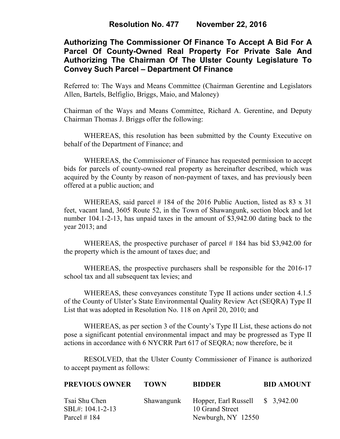# **Authorizing The Commissioner Of Finance To Accept A Bid For A Parcel Of County-Owned Real Property For Private Sale And Authorizing The Chairman Of The Ulster County Legislature To Convey Such Parcel – Department Of Finance**

Referred to: The Ways and Means Committee (Chairman Gerentine and Legislators Allen, Bartels, Belfiglio, Briggs, Maio, and Maloney)

Chairman of the Ways and Means Committee, Richard A. Gerentine, and Deputy Chairman Thomas J. Briggs offer the following:

WHEREAS, this resolution has been submitted by the County Executive on behalf of the Department of Finance; and

 WHEREAS, the Commissioner of Finance has requested permission to accept bids for parcels of county-owned real property as hereinafter described, which was acquired by the County by reason of non-payment of taxes, and has previously been offered at a public auction; and

WHEREAS, said parcel  $# 184$  of the 2016 Public Auction, listed as 83 x 31 feet, vacant land, 3605 Route 52, in the Town of Shawangunk, section block and lot number 104.1-2-13, has unpaid taxes in the amount of \$3,942.00 dating back to the year 2013; and

WHEREAS, the prospective purchaser of parcel # 184 has bid \$3,942.00 for the property which is the amount of taxes due; and

 WHEREAS, the prospective purchasers shall be responsible for the 2016-17 school tax and all subsequent tax levies; and

WHEREAS, these conveyances constitute Type II actions under section 4.1.5 of the County of Ulster's State Environmental Quality Review Act (SEQRA) Type II List that was adopted in Resolution No. 118 on April 20, 2010; and

 WHEREAS, as per section 3 of the County's Type II List, these actions do not pose a significant potential environmental impact and may be progressed as Type II actions in accordance with 6 NYCRR Part 617 of SEQRA; now therefore, be it

RESOLVED, that the Ulster County Commissioner of Finance is authorized to accept payment as follows:

| <b>PREVIOUS OWNER</b>                               | <b>TOWN</b> | <b>BIDDER</b>                                                                        | <b>BID AMOUNT</b> |
|-----------------------------------------------------|-------------|--------------------------------------------------------------------------------------|-------------------|
| Tsai Shu Chen<br>SBL#: 104.1-2-13<br>Parcel $# 184$ |             | Shawangunk Hopper, Earl Russell \$ 3,942.00<br>10 Grand Street<br>Newburgh, NY 12550 |                   |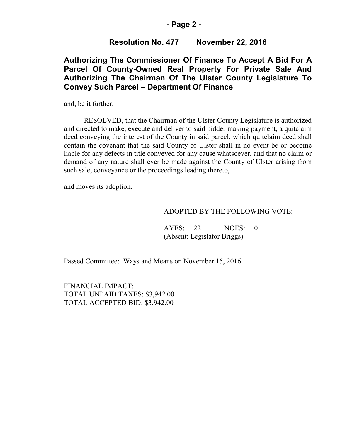## **- Page 2 -**

## **Resolution No. 477 November 22, 2016**

## **Authorizing The Commissioner Of Finance To Accept A Bid For A Parcel Of County-Owned Real Property For Private Sale And Authorizing The Chairman Of The Ulster County Legislature To Convey Such Parcel – Department Of Finance**

and, be it further,

RESOLVED, that the Chairman of the Ulster County Legislature is authorized and directed to make, execute and deliver to said bidder making payment, a quitclaim deed conveying the interest of the County in said parcel, which quitclaim deed shall contain the covenant that the said County of Ulster shall in no event be or become liable for any defects in title conveyed for any cause whatsoever, and that no claim or demand of any nature shall ever be made against the County of Ulster arising from such sale, conveyance or the proceedings leading thereto,

and moves its adoption.

#### ADOPTED BY THE FOLLOWING VOTE:

 AYES: 22 NOES: 0 (Absent: Legislator Briggs)

Passed Committee: Ways and Means on November 15, 2016

FINANCIAL IMPACT: TOTAL UNPAID TAXES: \$3,942.00 TOTAL ACCEPTED BID: \$3,942.00